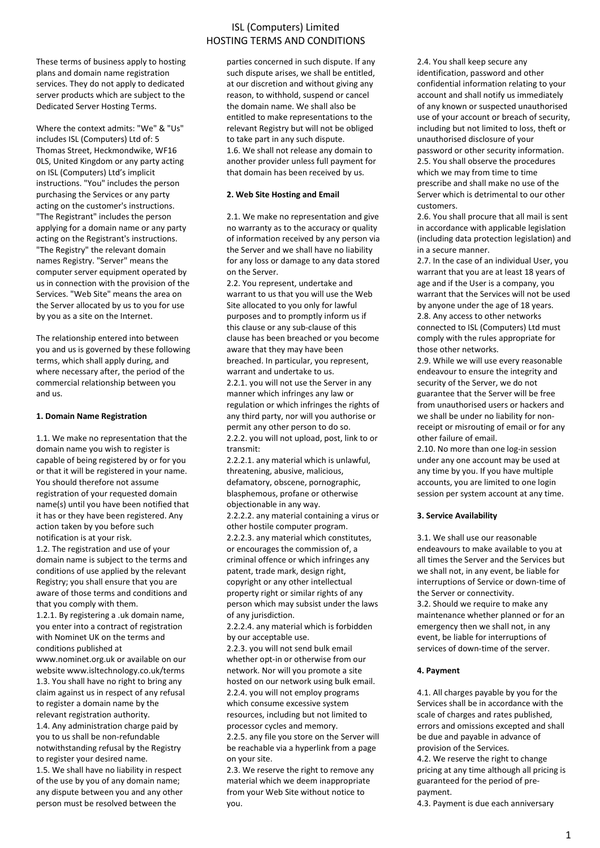These terms of business apply to hosting plans and domain name registration services. They do not apply to dedicated server products which are subject to the Dedicated Server Hosting Terms.

Where the context admits: "We" & "Us" includes ISL (Computers) Ltd of: 5 Thomas Street, Heckmondwike, WF16 0LS, United Kingdom or any party acting on ISL (Computers) Ltd's implicit instructions. "You" includes the person purchasing the Services or any party acting on the customer's instructions. "The Registrant" includes the person applying for a domain name or any party acting on the Registrant's instructions. "The Registry" the relevant domain names Registry. "Server" means the computer server equipment operated by us in connection with the provision of the Services. "Web Site" means the area on the Server allocated by us to you for use by you as a site on the Internet.

The relationship entered into between you and us is governed by these following terms, which shall apply during, and where necessary after, the period of the commercial relationship between you and us.

### **1. Domain Name Registration**

1.1. We make no representation that the domain name you wish to register is capable of being registered by or for you or that it will be registered in your name. You should therefore not assume registration of your requested domain name(s) until you have been notified that it has or they have been registered. Any action taken by you before such notification is at your risk.

1.2. The registration and use of your domain name is subject to the terms and conditions of use applied by the relevant Registry; you shall ensure that you are aware of those terms and conditions and that you comply with them.

1.2.1. By registering a .uk domain name, you enter into a contract of registration with Nominet UK on the terms and conditions published at

www.nominet.org.uk or available on our website www.isltechnology.co.uk/terms 1.3. You shall have no right to bring any claim against us in respect of any refusal to register a domain name by the relevant registration authority.

1.4. Any administration charge paid by you to us shall be non-refundable notwithstanding refusal by the Registry to register your desired name.

1.5. We shall have no liability in respect of the use by you of any domain name; any dispute between you and any other person must be resolved between the

# ISL (Computers) Limited HOSTING TERMS AND CONDITIONS

parties concerned in such dispute. If any such dispute arises, we shall be entitled, at our discretion and without giving any reason, to withhold, suspend or cancel the domain name. We shall also be entitled to make representations to the relevant Registry but will not be obliged to take part in any such dispute. 1.6. We shall not release any domain to another provider unless full payment for that domain has been received by us.

# **2. Web Site Hosting and Email**

2.1. We make no representation and give no warranty as to the accuracy or quality of information received by any person via the Server and we shall have no liability for any loss or damage to any data stored on the Server.

2.2. You represent, undertake and warrant to us that you will use the Web Site allocated to you only for lawful purposes and to promptly inform us if this clause or any sub-clause of this clause has been breached or you become aware that they may have been breached. In particular, you represent, warrant and undertake to us.

2.2.1. you will not use the Server in any manner which infringes any law or regulation or which infringes the rights of any third party, nor will you authorise or permit any other person to do so. 2.2.2. you will not upload, post, link to or transmit:

2.2.2.1. any material which is unlawful, threatening, abusive, malicious, defamatory, obscene, pornographic, blasphemous, profane or otherwise objectionable in any way.

2.2.2.2. any material containing a virus or other hostile computer program.

2.2.2.3. any material which constitutes, or encourages the commission of, a criminal offence or which infringes any patent, trade mark, design right, copyright or any other intellectual property right or similar rights of any person which may subsist under the laws of any jurisdiction.

2.2.2.4. any material which is forbidden by our acceptable use.

2.2.3. you will not send bulk email whether opt-in or otherwise from our network. Nor will you promote a site hosted on our network using bulk email. 2.2.4. you will not employ programs which consume excessive system resources, including but not limited to processor cycles and memory.

2.2.5. any file you store on the Server will be reachable via a hyperlink from a page on your site.

2.3. We reserve the right to remove any material which we deem inappropriate from your Web Site without notice to you.

2.4. You shall keep secure any identification, password and other confidential information relating to your account and shall notify us immediately of any known or suspected unauthorised use of your account or breach of security, including but not limited to loss, theft or unauthorised disclosure of your password or other security information. 2.5. You shall observe the procedures which we may from time to time prescribe and shall make no use of the Server which is detrimental to our other customers.

2.6. You shall procure that all mail is sent in accordance with applicable legislation (including data protection legislation) and in a secure manner.

2.7. In the case of an individual User, you warrant that you are at least 18 years of age and if the User is a company, you warrant that the Services will not be used by anyone under the age of 18 years. 2.8. Any access to other networks connected to ISL (Computers) Ltd must comply with the rules appropriate for those other networks.

2.9. While we will use every reasonable endeavour to ensure the integrity and security of the Server, we do not guarantee that the Server will be free from unauthorised users or hackers and we shall be under no liability for nonreceipt or misrouting of email or for any other failure of email.

2.10. No more than one log-in session under any one account may be used at any time by you. If you have multiple accounts, you are limited to one login session per system account at any time.

# **3. Service Availability**

3.1. We shall use our reasonable endeavours to make available to you at all times the Server and the Services but we shall not, in any event, be liable for interruptions of Service or down-time of the Server or connectivity.

3.2. Should we require to make any maintenance whether planned or for an emergency then we shall not, in any event, be liable for interruptions of services of down-time of the server.

# **4. Payment**

4.1. All charges payable by you for the Services shall be in accordance with the scale of charges and rates published, errors and omissions excepted and shall be due and payable in advance of provision of the Services. 4.2. We reserve the right to change

pricing at any time although all pricing is guaranteed for the period of prepayment.

4.3. Payment is due each anniversary